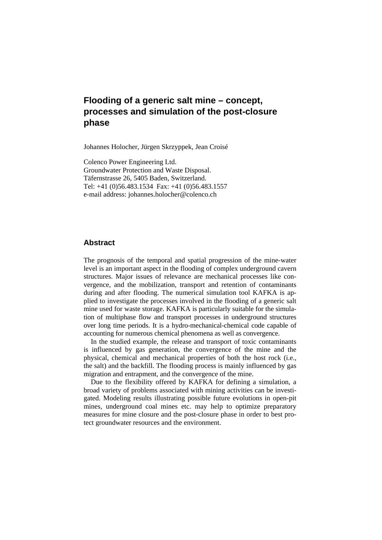# **Flooding of a generic salt mine – concept, processes and simulation of the post-closure phase**

Johannes Holocher, Jürgen Skrzyppek, Jean Croisé

Colenco Power Engineering Ltd. Groundwater Protection and Waste Disposal. Täfernstrasse 26, 5405 Baden, Switzerland. Tel: +41 (0)56.483.1534 Fax: +41 (0)56.483.1557 e-mail address: johannes.holocher@colenco.ch

### **Abstract**

The prognosis of the temporal and spatial progression of the mine-water level is an important aspect in the flooding of complex underground cavern structures. Major issues of relevance are mechanical processes like convergence, and the mobilization, transport and retention of contaminants during and after flooding. The numerical simulation tool KAFKA is applied to investigate the processes involved in the flooding of a generic salt mine used for waste storage. KAFKA is particularly suitable for the simulation of multiphase flow and transport processes in underground structures over long time periods. It is a hydro-mechanical-chemical code capable of accounting for numerous chemical phenomena as well as convergence.

In the studied example, the release and transport of toxic contaminants is influenced by gas generation, the convergence of the mine and the physical, chemical and mechanical properties of both the host rock (i.e., the salt) and the backfill. The flooding process is mainly influenced by gas migration and entrapment, and the convergence of the mine.

Due to the flexibility offered by KAFKA for defining a simulation, a broad variety of problems associated with mining activities can be investigated. Modeling results illustrating possible future evolutions in open-pit mines, underground coal mines etc. may help to optimize preparatory measures for mine closure and the post-closure phase in order to best protect groundwater resources and the environment.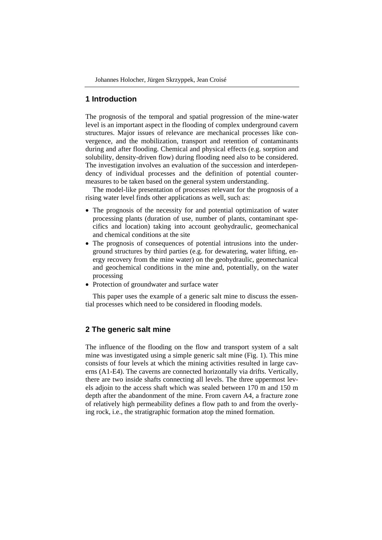### **1 Introduction**

The prognosis of the temporal and spatial progression of the mine-water level is an important aspect in the flooding of complex underground cavern structures. Major issues of relevance are mechanical processes like convergence, and the mobilization, transport and retention of contaminants during and after flooding. Chemical and physical effects (e.g. sorption and solubility, density-driven flow) during flooding need also to be considered. The investigation involves an evaluation of the succession and interdependency of individual processes and the definition of potential countermeasures to be taken based on the general system understanding.

The model-like presentation of processes relevant for the prognosis of a rising water level finds other applications as well, such as:

- The prognosis of the necessity for and potential optimization of water processing plants (duration of use, number of plants, contaminant specifics and location) taking into account geohydraulic, geomechanical and chemical conditions at the site
- The prognosis of consequences of potential intrusions into the underground structures by third parties (e.g. for dewatering, water lifting, energy recovery from the mine water) on the geohydraulic, geomechanical and geochemical conditions in the mine and, potentially, on the water processing
- Protection of groundwater and surface water

This paper uses the example of a generic salt mine to discuss the essential processes which need to be considered in flooding models.

## **2 The generic salt mine**

The influence of the flooding on the flow and transport system of a salt mine was investigated using a simple generic salt mine (Fig. 1). This mine consists of four levels at which the mining activities resulted in large caverns (A1-E4). The caverns are connected horizontally via drifts. Vertically, there are two inside shafts connecting all levels. The three uppermost levels adjoin to the access shaft which was sealed between 170 m and 150 m depth after the abandonment of the mine. From cavern A4, a fracture zone of relatively high permeability defines a flow path to and from the overlying rock, i.e., the stratigraphic formation atop the mined formation.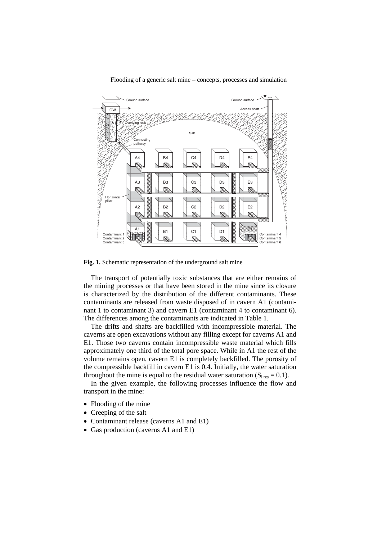



Fig. 1. Schematic representation of the underground salt mine

The transport of potentially toxic substances that are either remains of the mining processes or that have been stored in the mine since its closure is characterized by the distribution of the different contaminants. These contaminants are released from waste disposed of in cavern A1 (contaminant 1 to contaminant 3) and cavern E1 (contaminant 4 to contaminant 6). The differences among the contaminants are indicated in Table 1.

The drifts and shafts are backfilled with incompressible material. The caverns are open excavations without any filling except for caverns A1 and E1. Those two caverns contain incompressible waste material which fills approximately one third of the total pore space. While in A1 the rest of the volume remains open, cavern E1 is completely backfilled. The porosity of the compressible backfill in cavern E1 is 0.4. Initially, the water saturation throughout the mine is equal to the residual water saturation  $(S<sub>Lres</sub> = 0.1)$ .

In the given example, the following processes influence the flow and transport in the mine:

- Flooding of the mine
- Creeping of the salt
- Contaminant release (caverns A1 and E1)
- Gas production (caverns A1 and E1)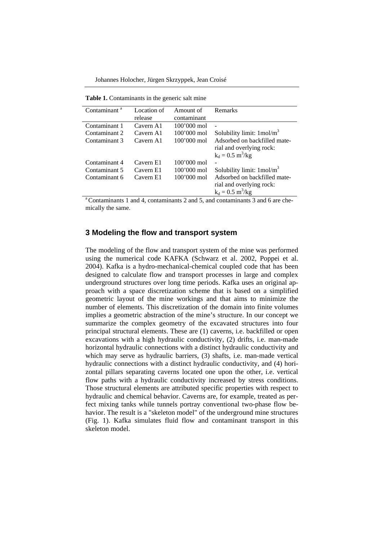Johannes Holocher, Jürgen Skrzyppek, Jean Croisé

**Table 1.** Contaminants in the generic salt mine

| Contaminant <sup>a</sup> | Location of | Amount of             | Remarks                              |
|--------------------------|-------------|-----------------------|--------------------------------------|
|                          | release     | contaminant           |                                      |
| Contaminant 1            | Cavern A1   | $100'000 \text{ mol}$ |                                      |
| Contaminant 2            | Cavern A1   | $100'000 \text{ mol}$ | Solubility limit: $1 \text{mol/m}^3$ |
| Contaminant 3            | Cavern A1   | $100'000 \text{ mol}$ | Adsorbed on backfilled mate-         |
|                          |             |                       | rial and overlying rock:             |
|                          |             |                       | $k_d = 0.5 \text{ m}^3/\text{kg}$    |
| Contaminant 4            | Cavern E1   | $100'000 \text{ mol}$ |                                      |
| Contaminant 5            | Cavern E1   | $100'000 \text{ mol}$ | Solubility limit: $1 \text{mol/m}^3$ |
| Contaminant 6            | Cavern E1   | $100'000$ mol         | Adsorbed on backfilled mate-         |
|                          |             |                       | rial and overlying rock:             |
|                          |             |                       | $k_d = 0.5 \text{ m}^3/\text{kg}$    |
|                          |             |                       |                                      |

 $\alpha$ <sup>a</sup> Contaminants 1 and 4, contaminants 2 and 5, and contaminants 3 and 6 are chemically the same.

#### **3 Modeling the flow and transport system**

The modeling of the flow and transport system of the mine was performed using the numerical code KAFKA (Schwarz et al. 2002, Poppei et al. 2004). Kafka is a hydro-mechanical-chemical coupled code that has been designed to calculate flow and transport processes in large and complex underground structures over long time periods. Kafka uses an original approach with a space discretization scheme that is based on a simplified geometric layout of the mine workings and that aims to minimize the number of elements. This discretization of the domain into finite volumes implies a geometric abstraction of the mine's structure. In our concept we summarize the complex geometry of the excavated structures into four principal structural elements. These are (1) caverns, i.e. backfilled or open excavations with a high hydraulic conductivity, (2) drifts, i.e. man-made horizontal hydraulic connections with a distinct hydraulic conductivity and which may serve as hydraulic barriers, (3) shafts, i.e. man-made vertical hydraulic connections with a distinct hydraulic conductivity, and (4) horizontal pillars separating caverns located one upon the other, i.e. vertical flow paths with a hydraulic conductivity increased by stress conditions. Those structural elements are attributed specific properties with respect to hydraulic and chemical behavior. Caverns are, for example, treated as perfect mixing tanks while tunnels portray conventional two-phase flow behavior. The result is a "skeleton model" of the underground mine structures (Fig. 1). Kafka simulates fluid flow and contaminant transport in this skeleton model.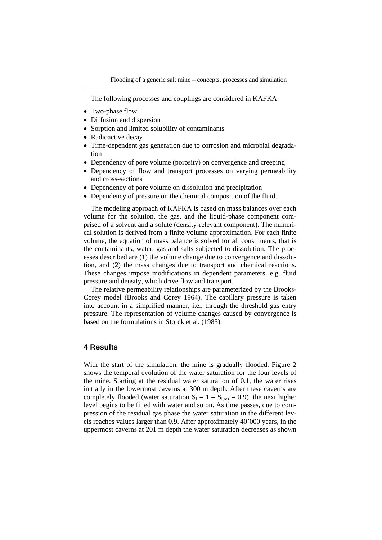The following processes and couplings are considered in KAFKA:

- Two-phase flow
- Diffusion and dispersion
- Sorption and limited solubility of contaminants
- Radioactive decay
- Time-dependent gas generation due to corrosion and microbial degradation
- Dependency of pore volume (porosity) on convergence and creeping
- Dependency of flow and transport processes on varying permeability and cross-sections
- Dependency of pore volume on dissolution and precipitation
- Dependency of pressure on the chemical composition of the fluid.

The modeling approach of KAFKA is based on mass balances over each volume for the solution, the gas, and the liquid-phase component comprised of a solvent and a solute (density-relevant component). The numerical solution is derived from a finite-volume approximation. For each finite volume, the equation of mass balance is solved for all constituents, that is the contaminants, water, gas and salts subjected to dissolution. The processes described are (1) the volume change due to convergence and dissolution, and (2) the mass changes due to transport and chemical reactions. These changes impose modifications in dependent parameters, e.g. fluid pressure and density, which drive flow and transport.

The relative permeability relationships are parameterized by the Brooks-Corey model (Brooks and Corey 1964). The capillary pressure is taken into account in a simplified manner, i.e., through the threshold gas entry pressure. The representation of volume changes caused by convergence is based on the formulations in Storck et al. (1985).

#### **4 Results**

With the start of the simulation, the mine is gradually flooded. Figure 2 shows the temporal evolution of the water saturation for the four levels of the mine. Starting at the residual water saturation of 0.1, the water rises initially in the lowermost caverns at 300 m depth. After these caverns are completely flooded (water saturation  $S_1 = 1 - S_{l,res} = 0.9$ ), the next higher level begins to be filled with water and so on. As time passes, due to compression of the residual gas phase the water saturation in the different levels reaches values larger than 0.9. After approximately 40'000 years, in the uppermost caverns at 201 m depth the water saturation decreases as shown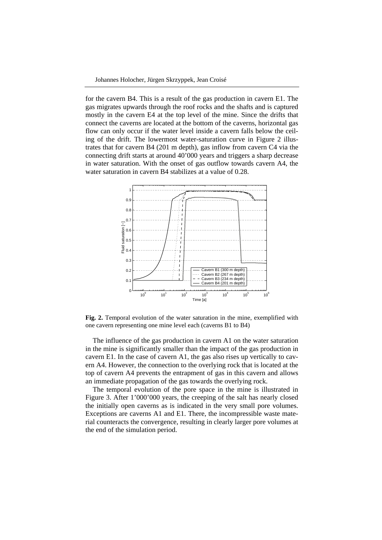for the cavern B4. This is a result of the gas production in cavern E1. The gas migrates upwards through the roof rocks and the shafts and is captured mostly in the cavern E4 at the top level of the mine. Since the drifts that connect the caverns are located at the bottom of the caverns, horizontal gas flow can only occur if the water level inside a cavern falls below the ceiling of the drift. The lowermost water-saturation curve in Figure 2 illustrates that for cavern B4 (201 m depth), gas inflow from cavern C4 via the connecting drift starts at around 40'000 years and triggers a sharp decrease in water saturation. With the onset of gas outflow towards cavern A4, the water saturation in cavern B4 stabilizes at a value of 0.28.



**Fig. 2.** Temporal evolution of the water saturation in the mine, exemplified with one cavern representing one mine level each (caverns B1 to B4)

The influence of the gas production in cavern A1 on the water saturation in the mine is significantly smaller than the impact of the gas production in cavern E1. In the case of cavern A1, the gas also rises up vertically to cavern A4. However, the connection to the overlying rock that is located at the top of cavern A4 prevents the entrapment of gas in this cavern and allows an immediate propagation of the gas towards the overlying rock.

The temporal evolution of the pore space in the mine is illustrated in Figure 3. After 1'000'000 years, the creeping of the salt has nearly closed the initially open caverns as is indicated in the very small pore volumes. Exceptions are caverns A1 and E1. There, the incompressible waste material counteracts the convergence, resulting in clearly larger pore volumes at the end of the simulation period.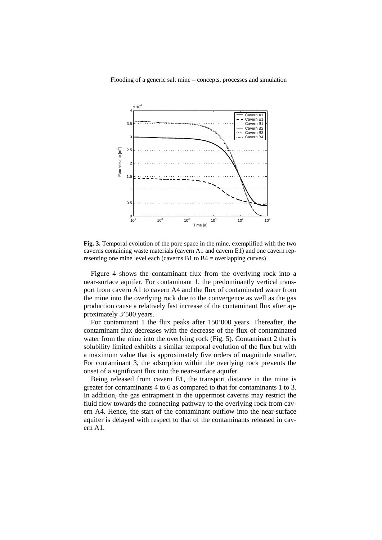

**Fig. 3.** Temporal evolution of the pore space in the mine, exemplified with the two caverns containing waste materials (cavern A1 and cavern E1) and one cavern representing one mine level each (caverns B1 to B4 = overlapping curves)

Figure 4 shows the contaminant flux from the overlying rock into a near-surface aquifer. For contaminant 1, the predominantly vertical transport from cavern A1 to cavern A4 and the flux of contaminated water from the mine into the overlying rock due to the convergence as well as the gas production cause a relatively fast increase of the contaminant flux after approximately 3'500 years.

For contaminant 1 the flux peaks after 150'000 years. Thereafter, the contaminant flux decreases with the decrease of the flux of contaminated water from the mine into the overlying rock (Fig. 5). Contaminant 2 that is solubility limited exhibits a similar temporal evolution of the flux but with a maximum value that is approximately five orders of magnitude smaller. For contaminant 3, the adsorption within the overlying rock prevents the onset of a significant flux into the near-surface aquifer.

Being released from cavern E1, the transport distance in the mine is greater for contaminants 4 to 6 as compared to that for contaminants 1 to 3. In addition, the gas entrapment in the uppermost caverns may restrict the fluid flow towards the connecting pathway to the overlying rock from cavern A4. Hence, the start of the contaminant outflow into the near-surface aquifer is delayed with respect to that of the contaminants released in cavern A1.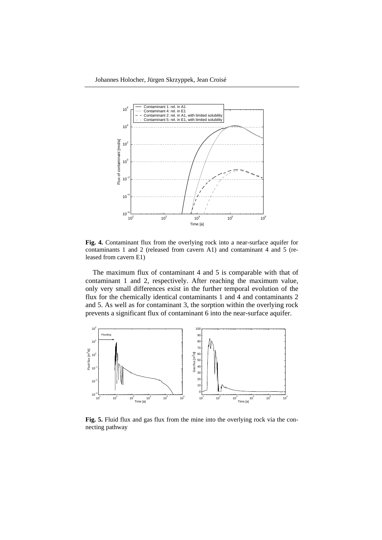

**Fig. 4.** Contaminant flux from the overlying rock into a near-surface aquifer for contaminants 1 and 2 (released from cavern A1) and contaminant 4 and 5 (released from cavern E1)

The maximum flux of contaminant 4 and 5 is comparable with that of contaminant 1 and 2, respectively. After reaching the maximum value, only very small differences exist in the further temporal evolution of the flux for the chemically identical contaminants 1 and 4 and contaminants 2 and 5. As well as for contaminant 3, the sorption within the overlying rock prevents a significant flux of contaminant 6 into the near-surface aquifer.



**Fig. 5.** Fluid flux and gas flux from the mine into the overlying rock via the connecting pathway